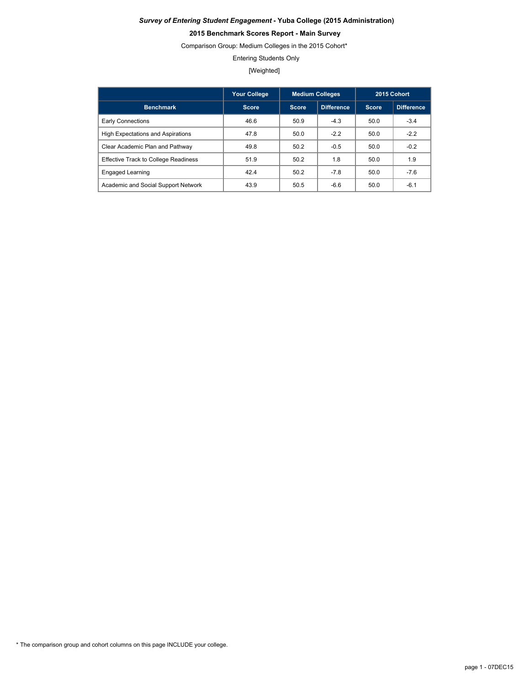# **2015 Benchmark Scores Report - Main Survey**

Comparison Group: Medium Colleges in the 2015 Cohort\*

Entering Students Only

#### [Weighted]

|                                             | <b>Your College</b> | <b>Medium Colleges</b>                            |        |      | 2015 Cohort       |
|---------------------------------------------|---------------------|---------------------------------------------------|--------|------|-------------------|
| <b>Benchmark</b>                            | <b>Score</b>        | <b>Difference</b><br><b>Score</b><br><b>Score</b> |        |      | <b>Difference</b> |
| <b>Early Connections</b>                    | 46.6                | 50.9                                              | $-4.3$ | 50.0 | $-3.4$            |
| <b>High Expectations and Aspirations</b>    | 47.8                | 50.0                                              | $-2.2$ | 50.0 | $-2.2$            |
| Clear Academic Plan and Pathway             | 49.8                | 50.2                                              | $-0.5$ | 50.0 | $-0.2$            |
| <b>Effective Track to College Readiness</b> | 51.9                | 50.2                                              | 1.8    | 50.0 | 1.9               |
| <b>Engaged Learning</b>                     | 42.4                | 50.2                                              | $-7.8$ | 50.0 | $-7.6$            |
| Academic and Social Support Network         | 43.9                | 50.5                                              | $-6.6$ | 50.0 | $-6.1$            |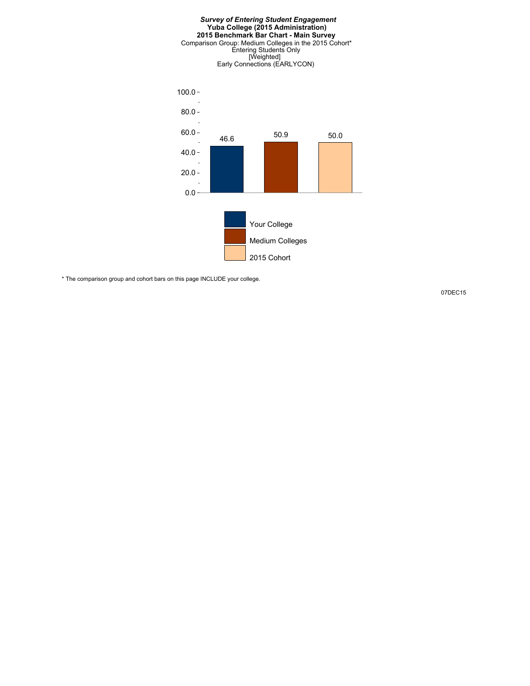

\* The comparison group and cohort bars on this page INCLUDE your college.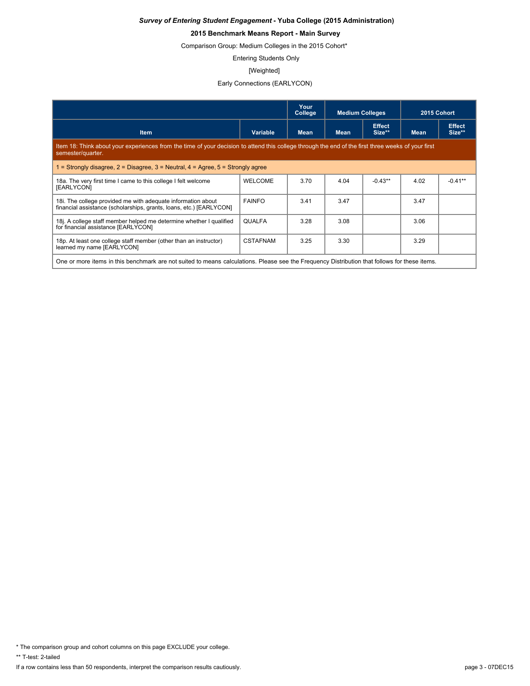# **2015 Benchmark Means Report - Main Survey**

Comparison Group: Medium Colleges in the 2015 Cohort\*

Entering Students Only

# [Weighted]

# Early Connections (EARLYCON)

|                                                                                                                                                                         |                 | Your<br>College | <b>Medium Colleges</b> |                         | 2015 Cohort |                         |  |  |  |  |
|-------------------------------------------------------------------------------------------------------------------------------------------------------------------------|-----------------|-----------------|------------------------|-------------------------|-------------|-------------------------|--|--|--|--|
| <b>Item</b>                                                                                                                                                             | <b>Variable</b> | <b>Mean</b>     | <b>Mean</b>            | <b>Effect</b><br>Size** | <b>Mean</b> | <b>Effect</b><br>Size** |  |  |  |  |
| Item 18: Think about your experiences from the time of your decision to attend this college through the end of the first three weeks of your first<br>semester/quarter. |                 |                 |                        |                         |             |                         |  |  |  |  |
| 1 = Strongly disagree, 2 = Disagree, 3 = Neutral, $4$ = Agree, $5$ = Strongly agree                                                                                     |                 |                 |                        |                         |             |                         |  |  |  |  |
| 18a. The very first time I came to this college I felt welcome<br><b>[EARLYCON]</b>                                                                                     | <b>WELCOME</b>  | 3.70            | 4.04                   | $-0.43**$               | 4.02        | $-0.41**$               |  |  |  |  |
| 18i. The college provided me with adequate information about<br>financial assistance (scholarships, grants, loans, etc.) [EARLYCON]                                     | <b>FAINFO</b>   | 3.41            | 3.47                   |                         | 3.47        |                         |  |  |  |  |
| 18. A college staff member helped me determine whether I qualified<br>for financial assistance [EARLYCON]                                                               | <b>QUALFA</b>   | 3.28            | 3.08                   |                         | 3.06        |                         |  |  |  |  |
| 18p. At least one college staff member (other than an instructor)<br>learned my name [EARLYCON]                                                                         | <b>CSTAFNAM</b> | 3.25            | 3.30                   |                         | 3.29        |                         |  |  |  |  |
| One or more items in this benchmark are not suited to means calculations. Please see the Frequency Distribution that follows for these items.                           |                 |                 |                        |                         |             |                         |  |  |  |  |

\* The comparison group and cohort columns on this page EXCLUDE your college.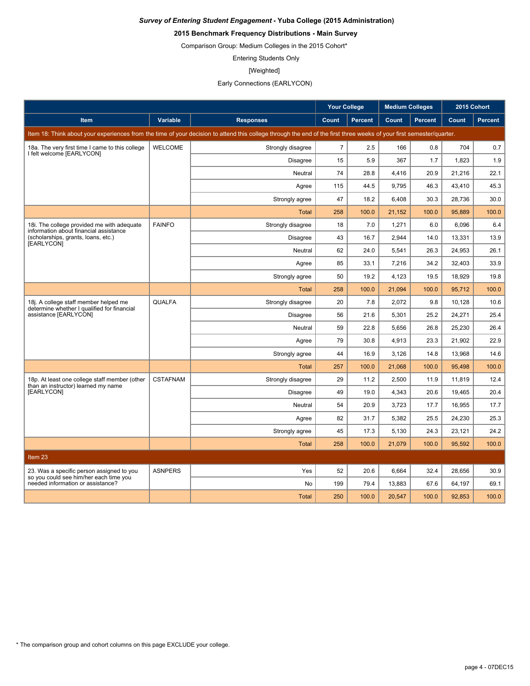# **2015 Benchmark Frequency Distributions - Main Survey**

Comparison Group: Medium Colleges in the 2015 Cohort\*

Entering Students Only

# [Weighted]

# Early Connections (EARLYCON)

|                                                                                      |                 |                                                                                                                                                                      | <b>Your College</b> |                | <b>Medium Colleges</b> |                |        | 2015 Cohort |
|--------------------------------------------------------------------------------------|-----------------|----------------------------------------------------------------------------------------------------------------------------------------------------------------------|---------------------|----------------|------------------------|----------------|--------|-------------|
| <b>Item</b>                                                                          | Variable        | <b>Responses</b>                                                                                                                                                     | Count               | <b>Percent</b> | Count                  | <b>Percent</b> | Count  | Percent     |
|                                                                                      |                 | Item 18: Think about your experiences from the time of your decision to attend this college through the end of the first three weeks of your first semester/quarter. |                     |                |                        |                |        |             |
| 18a. The very first time I came to this college                                      | <b>WELCOME</b>  | Strongly disagree                                                                                                                                                    | $\overline{7}$      | 2.5            | 166                    | 0.8            | 704    | 0.7         |
| I felt welcome [EARLYCON]                                                            |                 | <b>Disagree</b>                                                                                                                                                      | 15                  | 5.9            | 367                    | 1.7            | 1,823  | 1.9         |
|                                                                                      |                 | Neutral                                                                                                                                                              | 74                  | 28.8           | 4,416                  | 20.9           | 21,216 | 22.1        |
|                                                                                      |                 | Agree                                                                                                                                                                | 115                 | 44.5           | 9.795                  | 46.3           | 43.410 | 45.3        |
|                                                                                      |                 | Strongly agree                                                                                                                                                       | 47                  | 18.2           | 6,408                  | 30.3           | 28,736 | 30.0        |
|                                                                                      |                 | <b>Total</b>                                                                                                                                                         | 258                 | 100.0          | 21,152                 | 100.0          | 95,889 | 100.0       |
| 18. The college provided me with adequate<br>information about financial assistance  | <b>FAINFO</b>   | Strongly disagree                                                                                                                                                    | 18                  | 7.0            | 1,271                  | 6.0            | 6,096  | 6.4         |
| (scholarships, grants, loans, etc.)<br>[EARLYCON]                                    |                 | <b>Disagree</b>                                                                                                                                                      | 43                  | 16.7           | 2,944                  | 14.0           | 13,331 | 13.9        |
|                                                                                      |                 | Neutral                                                                                                                                                              | 62                  | 24.0           | 5,541                  | 26.3           | 24,953 | 26.1        |
|                                                                                      |                 | Agree                                                                                                                                                                | 85                  | 33.1           | 7,216                  | 34.2           | 32,403 | 33.9        |
|                                                                                      |                 | Strongly agree                                                                                                                                                       | 50                  | 19.2           | 4,123                  | 19.5           | 18,929 | 19.8        |
|                                                                                      |                 | <b>Total</b>                                                                                                                                                         | 258                 | 100.0          | 21,094                 | 100.0          | 95,712 | 100.0       |
| 18j. A college staff member helped me<br>determine whether I qualified for financial | <b>QUALFA</b>   | Strongly disagree                                                                                                                                                    | 20                  | 7.8            | 2,072                  | 9.8            | 10,128 | 10.6        |
| assistance [EARLYCON]                                                                |                 | <b>Disagree</b>                                                                                                                                                      | 56                  | 21.6           | 5,301                  | 25.2           | 24,271 | 25.4        |
|                                                                                      |                 | Neutral                                                                                                                                                              | 59                  | 22.8           | 5,656                  | 26.8           | 25,230 | 26.4        |
|                                                                                      |                 | Agree                                                                                                                                                                | 79                  | 30.8           | 4.913                  | 23.3           | 21.902 | 22.9        |
|                                                                                      |                 | Strongly agree                                                                                                                                                       | 44                  | 16.9           | 3,126                  | 14.8           | 13,968 | 14.6        |
|                                                                                      |                 | <b>Total</b>                                                                                                                                                         | 257                 | 100.0          | 21,068                 | 100.0          | 95,498 | 100.0       |
| 18p. At least one college staff member (other<br>than an instructor) learned my name | <b>CSTAFNAM</b> | Strongly disagree                                                                                                                                                    | 29                  | 11.2           | 2,500                  | 11.9           | 11,819 | 12.4        |
| <b>[EARLYCON]</b>                                                                    |                 | <b>Disagree</b>                                                                                                                                                      | 49                  | 19.0           | 4,343                  | 20.6           | 19,465 | 20.4        |
|                                                                                      |                 | Neutral                                                                                                                                                              | 54                  | 20.9           | 3.723                  | 17.7           | 16.955 | 17.7        |
|                                                                                      |                 | Agree                                                                                                                                                                | 82                  | 31.7           | 5,382                  | 25.5           | 24,230 | 25.3        |
|                                                                                      |                 | Strongly agree                                                                                                                                                       | 45                  | 17.3           | 5,130                  | 24.3           | 23,121 | 24.2        |
|                                                                                      |                 | <b>Total</b>                                                                                                                                                         | 258                 | 100.0          | 21,079                 | 100.0          | 95.592 | 100.0       |
| Item 23                                                                              |                 |                                                                                                                                                                      |                     |                |                        |                |        |             |
| 23. Was a specific person assigned to you                                            | <b>ASNPERS</b>  | Yes                                                                                                                                                                  | 52                  | 20.6           | 6,664                  | 32.4           | 28,656 | 30.9        |
| so you could see him/her each time you<br>needed information or assistance?          |                 | No                                                                                                                                                                   | 199                 | 79.4           | 13,883                 | 67.6           | 64,197 | 69.1        |
|                                                                                      |                 | <b>Total</b>                                                                                                                                                         | 250                 | 100.0          | 20.547                 | 100.0          | 92.853 | 100.0       |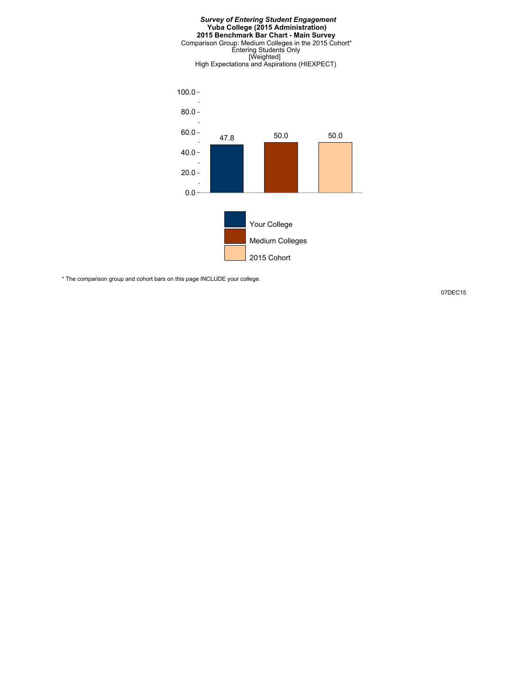#### *Survey of Entering Student Engagement* **Yuba College (2015 Administration) 2015 Benchmark Bar Chart - Main Survey** Comparison Group: Medium Colleges in the 2015 Cohort\* Entering Students Only [Weighted] High Expectations and Aspirations (HIEXPECT)



\* The comparison group and cohort bars on this page INCLUDE your college.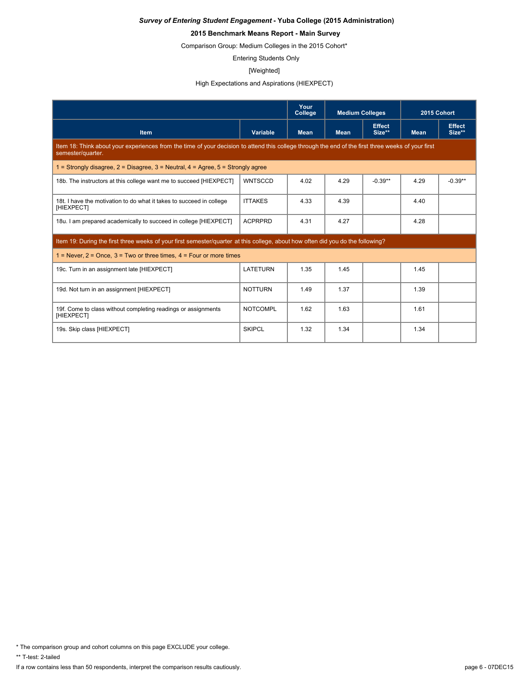# **2015 Benchmark Means Report - Main Survey**

Comparison Group: Medium Colleges in the 2015 Cohort\*

Entering Students Only

#### [Weighted]

# High Expectations and Aspirations (HIEXPECT)

|                                                                                                                                                                         |                 | Your<br>College | <b>Medium Colleges</b> |                         | 2015 Cohort |                         |  |  |  |  |  |
|-------------------------------------------------------------------------------------------------------------------------------------------------------------------------|-----------------|-----------------|------------------------|-------------------------|-------------|-------------------------|--|--|--|--|--|
| <b>Item</b>                                                                                                                                                             | <b>Variable</b> | <b>Mean</b>     | <b>Mean</b>            | <b>Effect</b><br>Size** | <b>Mean</b> | <b>Effect</b><br>Size** |  |  |  |  |  |
| Item 18: Think about your experiences from the time of your decision to attend this college through the end of the first three weeks of your first<br>semester/quarter. |                 |                 |                        |                         |             |                         |  |  |  |  |  |
| 1 = Strongly disagree, $2$ = Disagree, $3$ = Neutral, $4$ = Agree, $5$ = Strongly agree                                                                                 |                 |                 |                        |                         |             |                         |  |  |  |  |  |
| 18b. The instructors at this college want me to succeed [HIEXPECT]                                                                                                      | <b>WNTSCCD</b>  | 4.02            | 4.29                   | $-0.39**$               | 4.29        | $-0.39**$               |  |  |  |  |  |
| 18t. I have the motivation to do what it takes to succeed in college<br>[HIEXPECT]                                                                                      | <b>ITTAKES</b>  | 4.33            | 4.39                   |                         | 4.40        |                         |  |  |  |  |  |
| 18u. I am prepared academically to succeed in college [HIEXPECT]                                                                                                        | <b>ACPRPRD</b>  | 4.31            | 4.27                   |                         | 4.28        |                         |  |  |  |  |  |
| Item 19: During the first three weeks of your first semester/quarter at this college, about how often did you do the following?                                         |                 |                 |                        |                         |             |                         |  |  |  |  |  |
| 1 = Never, $2$ = Once, $3$ = Two or three times, $4$ = Four or more times                                                                                               |                 |                 |                        |                         |             |                         |  |  |  |  |  |
| 19c. Turn in an assignment late [HIEXPECT]                                                                                                                              | LATETURN        | 1.35            | 1.45                   |                         | 1.45        |                         |  |  |  |  |  |
| 19d. Not turn in an assignment [HIEXPECT]                                                                                                                               | <b>NOTTURN</b>  | 1.49            | 1.37                   |                         | 1.39        |                         |  |  |  |  |  |
| 19f. Come to class without completing readings or assignments<br>[HIEXPECT]                                                                                             | <b>NOTCOMPL</b> | 1.62            | 1.63                   |                         | 1.61        |                         |  |  |  |  |  |
| 19s. Skip class [HIEXPECT]                                                                                                                                              | <b>SKIPCL</b>   | 1.32            | 1.34                   |                         | 1.34        |                         |  |  |  |  |  |

\* The comparison group and cohort columns on this page EXCLUDE your college.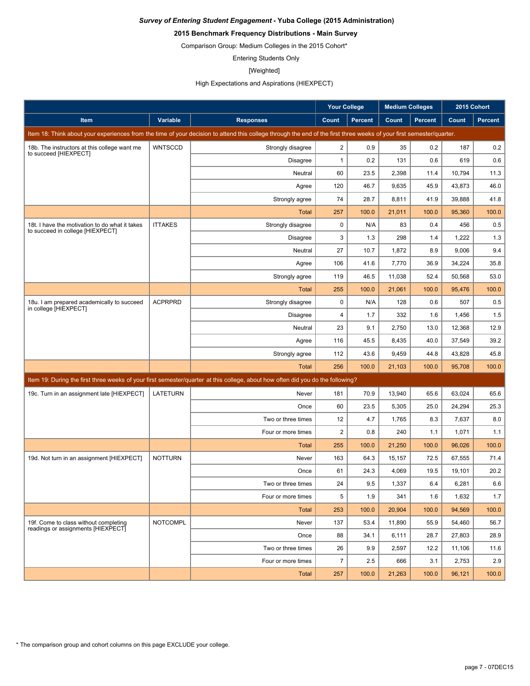# **2015 Benchmark Frequency Distributions - Main Survey**

Comparison Group: Medium Colleges in the 2015 Cohort\*

Entering Students Only

#### [Weighted]

High Expectations and Aspirations (HIEXPECT)

|                                                                                    |                 |                                                                                                                                                                      | <b>Your College</b> |                | <b>Medium Colleges</b> |                | 2015 Cohort |                |
|------------------------------------------------------------------------------------|-----------------|----------------------------------------------------------------------------------------------------------------------------------------------------------------------|---------------------|----------------|------------------------|----------------|-------------|----------------|
| <b>Item</b>                                                                        | Variable        | <b>Responses</b>                                                                                                                                                     | Count               | <b>Percent</b> | Count                  | <b>Percent</b> | Count       | <b>Percent</b> |
|                                                                                    |                 | Item 18: Think about your experiences from the time of your decision to attend this college through the end of the first three weeks of your first semester/quarter. |                     |                |                        |                |             |                |
| 18b. The instructors at this college want me                                       | <b>WNTSCCD</b>  | Strongly disagree                                                                                                                                                    | $\overline{2}$      | 0.9            | 35                     | 0.2            | 187         | 0.2            |
| to succeed [HIEXPECT]                                                              |                 | Disagree                                                                                                                                                             | $\mathbf{1}$        | 0.2            | 131                    | 0.6            | 619         | 0.6            |
|                                                                                    |                 | Neutral                                                                                                                                                              | 60                  | 23.5           | 2,398                  | 11.4           | 10,794      | 11.3           |
|                                                                                    |                 | Agree                                                                                                                                                                | 120                 | 46.7           | 9,635                  | 45.9           | 43,873      | 46.0           |
|                                                                                    |                 | Strongly agree                                                                                                                                                       | 74                  | 28.7           | 8,811                  | 41.9           | 39,888      | 41.8           |
|                                                                                    |                 | Total                                                                                                                                                                | 257                 | 100.0          | 21,011                 | 100.0          | 95,360      | 100.0          |
| 18t. I have the motivation to do what it takes<br>to succeed in college [HIEXPECT] | <b>ITTAKES</b>  | Strongly disagree                                                                                                                                                    | $\mathbf 0$         | N/A            | 83                     | 0.4            | 456         | 0.5            |
|                                                                                    |                 | <b>Disagree</b>                                                                                                                                                      | 3                   | 1.3            | 298                    | 1.4            | 1,222       | 1.3            |
|                                                                                    |                 | Neutral                                                                                                                                                              | 27                  | 10.7           | 1,872                  | 8.9            | 9,006       | 9.4            |
|                                                                                    |                 | Agree                                                                                                                                                                | 106                 | 41.6           | 7,770                  | 36.9           | 34,224      | 35.8           |
|                                                                                    |                 | Strongly agree                                                                                                                                                       | 119                 | 46.5           | 11,038                 | 52.4           | 50,568      | 53.0           |
|                                                                                    |                 | <b>Total</b>                                                                                                                                                         | 255                 | 100.0          | 21,061                 | 100.0          | 95,476      | 100.0          |
| 18u. I am prepared academically to succeed<br>in college [HIEXPECT]                | <b>ACPRPRD</b>  | Strongly disagree                                                                                                                                                    | $\mathbf 0$         | N/A            | 128                    | 0.6            | 507         | 0.5            |
|                                                                                    |                 | <b>Disagree</b>                                                                                                                                                      | $\overline{4}$      | 1.7            | 332                    | 1.6            | 1,456       | 1.5            |
|                                                                                    |                 | Neutral                                                                                                                                                              | 23                  | 9.1            | 2,750                  | 13.0           | 12,368      | 12.9           |
|                                                                                    |                 | Agree                                                                                                                                                                | 116                 | 45.5           | 8,435                  | 40.0           | 37,549      | 39.2           |
|                                                                                    |                 | Strongly agree                                                                                                                                                       | 112                 | 43.6           | 9,459                  | 44.8           | 43,828      | 45.8           |
|                                                                                    |                 | Total                                                                                                                                                                | 256                 | 100.0          | 21,103                 | 100.0          | 95,708      | 100.0          |
|                                                                                    |                 | Item 19: During the first three weeks of your first semester/quarter at this college, about how often did you do the following?                                      |                     |                |                        |                |             |                |
| 19c. Turn in an assignment late [HIEXPECT]                                         | <b>LATETURN</b> | Never                                                                                                                                                                | 181                 | 70.9           | 13,940                 | 65.6           | 63,024      | 65.6           |
|                                                                                    |                 | Once                                                                                                                                                                 | 60                  | 23.5           | 5,305                  | 25.0           | 24,294      | 25.3           |
|                                                                                    |                 | Two or three times                                                                                                                                                   | 12                  | 4.7            | 1,765                  | 8.3            | 7,637       | 8.0            |
|                                                                                    |                 | Four or more times                                                                                                                                                   | $\overline{2}$      | 0.8            | 240                    | 1.1            | 1,071       | 1.1            |
|                                                                                    |                 | <b>Total</b>                                                                                                                                                         | 255                 | 100.0          | 21,250                 | 100.0          | 96,026      | 100.0          |
| 19d. Not turn in an assignment [HIEXPECT]                                          | <b>NOTTURN</b>  | Never                                                                                                                                                                | 163                 | 64.3           | 15,157                 | 72.5           | 67,555      | 71.4           |
|                                                                                    |                 | Once                                                                                                                                                                 | 61                  | 24.3           | 4,069                  | 19.5           | 19,101      | 20.2           |
|                                                                                    |                 | Two or three times                                                                                                                                                   | 24                  | 9.5            | 1,337                  | 6.4            | 6,281       | 6.6            |
|                                                                                    |                 | Four or more times                                                                                                                                                   | 5                   | 1.9            | 341                    | 1.6            | 1,632       | 1.7            |
|                                                                                    |                 | <b>Total</b>                                                                                                                                                         | 253                 | 100.0          | 20,904                 | 100.0          | 94,569      | 100.0          |
| 19f. Come to class without completing<br>readings or assignments [HIEXPECT]        | <b>NOTCOMPL</b> | Never                                                                                                                                                                | 137                 | 53.4           | 11,890                 | 55.9           | 54,460      | 56.7           |
|                                                                                    |                 | Once                                                                                                                                                                 | 88                  | 34.1           | 6,111                  | 28.7           | 27,803      | 28.9           |
|                                                                                    |                 | Two or three times                                                                                                                                                   | 26                  | 9.9            | 2,597                  | 12.2           | 11,106      | 11.6           |
|                                                                                    |                 | Four or more times                                                                                                                                                   | $\overline{7}$      | 2.5            | 666                    | 3.1            | 2,753       | 2.9            |
|                                                                                    |                 | Total                                                                                                                                                                | 257                 | 100.0          | 21,263                 | 100.0          | 96,121      | 100.0          |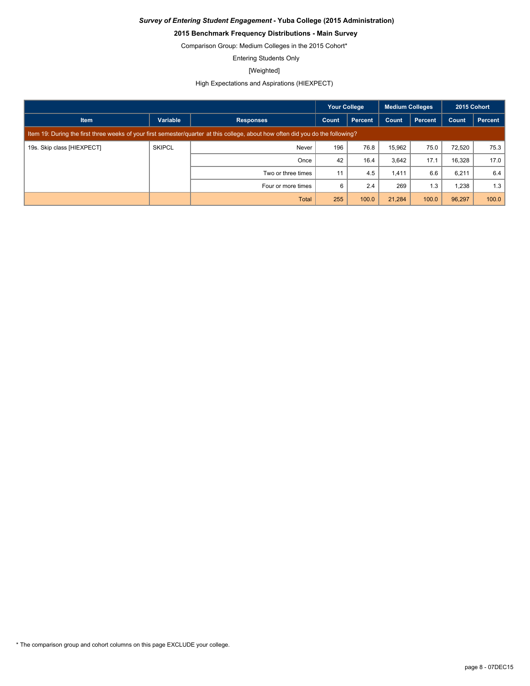# **2015 Benchmark Frequency Distributions - Main Survey**

Comparison Group: Medium Colleges in the 2015 Cohort\*

Entering Students Only

#### [Weighted]

High Expectations and Aspirations (HIEXPECT)

|                                                                                                                                 |               |                    | <b>Your College</b> |         | <b>Medium Colleges</b> |                | 2015 Cohort |         |
|---------------------------------------------------------------------------------------------------------------------------------|---------------|--------------------|---------------------|---------|------------------------|----------------|-------------|---------|
| <b>Item</b>                                                                                                                     | Variable      | <b>Responses</b>   | Count               | Percent |                        | <b>Percent</b> | Count       | Percent |
| Item 19: During the first three weeks of your first semester/quarter at this college, about how often did you do the following? |               |                    |                     |         |                        |                |             |         |
| 19s. Skip class [HIEXPECT]                                                                                                      | <b>SKIPCL</b> | Never              | 196                 | 76.8    | 15.962                 | 75.0           | 72.520      | 75.3    |
|                                                                                                                                 |               | Once               | 42                  | 16.4    | 3,642                  | 17.1           | 16,328      | 17.0    |
|                                                                                                                                 |               | Two or three times | 11                  | 4.5     | 1,411                  | 6.6            | 6,211       | 6.4     |
|                                                                                                                                 |               | Four or more times | 6                   | 2.4     | 269                    | 1.3            | 1,238       | 1.3     |
|                                                                                                                                 |               | <b>Total</b>       | 255                 | 100.0   | 21.284                 | 100.0          | 96,297      | 100.0   |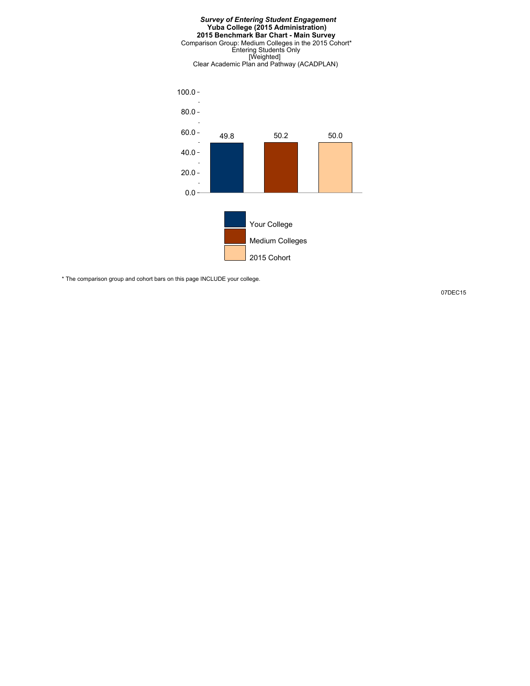#### *Survey of Entering Student Engagement* **Yuba College (2015 Administration) 2015 Benchmark Bar Chart - Main Survey** Comparison Group: Medium Colleges in the 2015 Cohort\* Entering Students Only [Weighted] Clear Academic Plan and Pathway (ACADPLAN)



\* The comparison group and cohort bars on this page INCLUDE your college.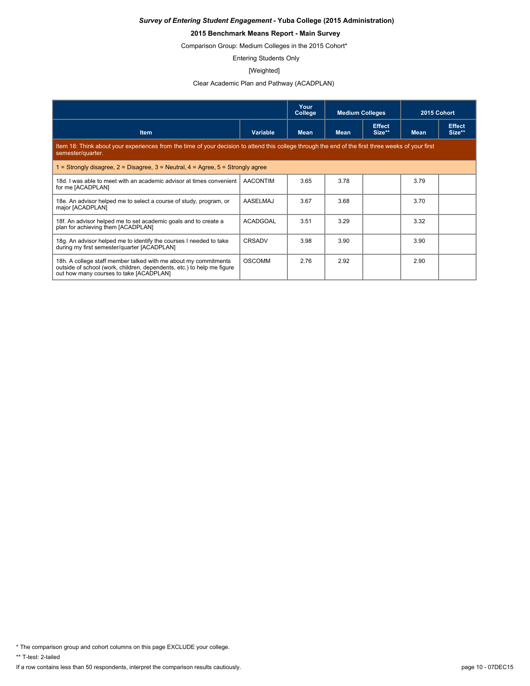# **2015 Benchmark Means Report - Main Survey**

Comparison Group: Medium Colleges in the 2015 Cohort\*

Entering Students Only

#### [Weighted]

# Clear Academic Plan and Pathway (ACADPLAN)

|                                                                                                                                                                                      |                 | Your<br>College | <b>Medium Colleges</b> |                         | 2015 Cohort |                         |  |  |  |
|--------------------------------------------------------------------------------------------------------------------------------------------------------------------------------------|-----------------|-----------------|------------------------|-------------------------|-------------|-------------------------|--|--|--|
| Item                                                                                                                                                                                 | Variable        | <b>Mean</b>     | <b>Mean</b>            | <b>Effect</b><br>Size** | <b>Mean</b> | <b>Effect</b><br>Size** |  |  |  |
| Item 18: Think about your experiences from the time of your decision to attend this college through the end of the first three weeks of your first<br>semester/quarter.              |                 |                 |                        |                         |             |                         |  |  |  |
| 1 = Strongly disagree, 2 = Disagree, 3 = Neutral, $4$ = Agree, $5$ = Strongly agree                                                                                                  |                 |                 |                        |                         |             |                         |  |  |  |
| 18d. I was able to meet with an academic advisor at times convenient<br>for me [ACADPLAN]                                                                                            | <b>AACONTIM</b> | 3.65            | 3.78                   |                         | 3.79        |                         |  |  |  |
| 18e. An advisor helped me to select a course of study, program, or<br>major [ACADPLAN]                                                                                               | <b>AASELMAJ</b> | 3.67            | 3.68                   |                         | 3.70        |                         |  |  |  |
| 18f. An advisor helped me to set academic goals and to create a<br>plan for achieving them [ACADPLAN]                                                                                | <b>ACADGOAL</b> | 3.51            | 3.29                   |                         | 3.32        |                         |  |  |  |
| 18g. An advisor helped me to identify the courses I needed to take<br>during my first semester/quarter [ACADPLAN]                                                                    | CRSADV          | 3.98            | 3.90                   |                         | 3.90        |                         |  |  |  |
| 18h. A college staff member talked with me about my commitments<br>outside of school (work, children, dependents, etc.) to help me figure<br>out how many courses to take [ACADPLAN] | <b>OSCOMM</b>   | 2.76            | 2.92                   |                         | 2.90        |                         |  |  |  |

\* The comparison group and cohort columns on this page EXCLUDE your college.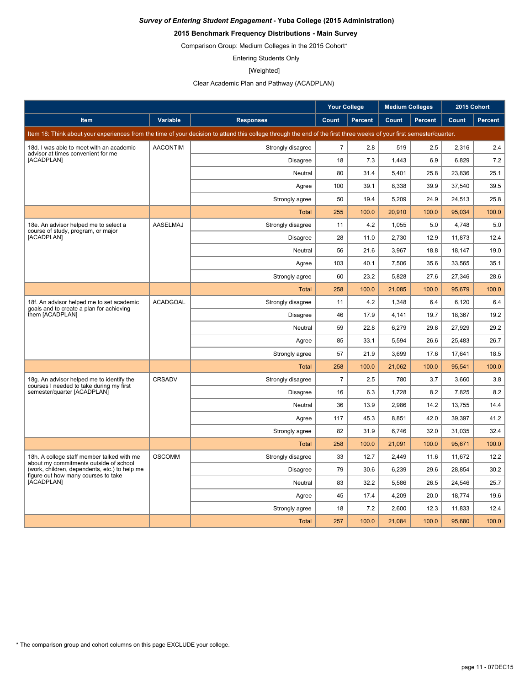# **2015 Benchmark Frequency Distributions - Main Survey**

Comparison Group: Medium Colleges in the 2015 Cohort\*

Entering Students Only

#### [Weighted]

Clear Academic Plan and Pathway (ACADPLAN)

|                                                                                                          |                 |                                                                                                                                                                      | <b>Your College</b> |                | <b>Medium Colleges</b> |                | 2015 Cohort  |                |
|----------------------------------------------------------------------------------------------------------|-----------------|----------------------------------------------------------------------------------------------------------------------------------------------------------------------|---------------------|----------------|------------------------|----------------|--------------|----------------|
| Item                                                                                                     | Variable        | <b>Responses</b>                                                                                                                                                     | Count               | <b>Percent</b> | Count                  | <b>Percent</b> | <b>Count</b> | <b>Percent</b> |
|                                                                                                          |                 | Item 18: Think about your experiences from the time of your decision to attend this college through the end of the first three weeks of your first semester/quarter. |                     |                |                        |                |              |                |
| 18d. I was able to meet with an academic                                                                 | <b>AACONTIM</b> | Strongly disagree                                                                                                                                                    | $\overline{7}$      | 2.8            | 519                    | 2.5            | 2,316        | 2.4            |
| advisor at times convenient for me<br>[ACADPLAN]                                                         |                 | <b>Disagree</b>                                                                                                                                                      | 18                  | 7.3            | 1,443                  | 6.9            | 6,829        | 7.2            |
|                                                                                                          |                 | Neutral                                                                                                                                                              | 80                  | 31.4           | 5,401                  | 25.8           | 23,836       | 25.1           |
|                                                                                                          |                 | Agree                                                                                                                                                                | 100                 | 39.1           | 8,338                  | 39.9           | 37.540       | 39.5           |
|                                                                                                          |                 | Strongly agree                                                                                                                                                       | 50                  | 19.4           | 5,209                  | 24.9           | 24,513       | 25.8           |
|                                                                                                          |                 | <b>Total</b>                                                                                                                                                         | 255                 | 100.0          | 20,910                 | 100.0          | 95.034       | 100.0          |
| 18e. An advisor helped me to select a                                                                    | <b>AASELMAJ</b> | Strongly disagree                                                                                                                                                    | 11                  | 4.2            | 1,055                  | 5.0            | 4,748        | 5.0            |
| course of study, program, or major<br>[ACADPLAN]                                                         |                 | <b>Disagree</b>                                                                                                                                                      | 28                  | 11.0           | 2,730                  | 12.9           | 11,873       | 12.4           |
|                                                                                                          |                 | Neutral                                                                                                                                                              | 56                  | 21.6           | 3.967                  | 18.8           | 18.147       | 19.0           |
|                                                                                                          |                 | Agree                                                                                                                                                                | 103                 | 40.1           | 7,506                  | 35.6           | 33,565       | 35.1           |
|                                                                                                          |                 | Strongly agree                                                                                                                                                       | 60                  | 23.2           | 5,828                  | 27.6           | 27,346       | 28.6           |
|                                                                                                          |                 | <b>Total</b>                                                                                                                                                         | 258                 | 100.0          | 21,085                 | 100.0          | 95,679       | 100.0          |
| 18f. An advisor helped me to set academic<br>goals and to create a plan for achieving<br>them [ACADPLAN] | <b>ACADGOAL</b> | Strongly disagree                                                                                                                                                    | 11                  | 4.2            | 1,348                  | 6.4            | 6,120        | 6.4            |
|                                                                                                          |                 | <b>Disagree</b>                                                                                                                                                      | 46                  | 17.9           | 4,141                  | 19.7           | 18,367       | 19.2           |
|                                                                                                          |                 | Neutral                                                                                                                                                              | 59                  | 22.8           | 6,279                  | 29.8           | 27,929       | 29.2           |
|                                                                                                          |                 | Agree                                                                                                                                                                | 85                  | 33.1           | 5,594                  | 26.6           | 25,483       | 26.7           |
|                                                                                                          |                 | Strongly agree                                                                                                                                                       | 57                  | 21.9           | 3,699                  | 17.6           | 17,641       | 18.5           |
|                                                                                                          |                 | <b>Total</b>                                                                                                                                                         | 258                 | 100.0          | 21,062                 | 100.0          | 95,541       | 100.0          |
| 18g. An advisor helped me to identify the<br>courses I needed to take during my first                    | <b>CRSADV</b>   | Strongly disagree                                                                                                                                                    | $\overline{7}$      | 2.5            | 780                    | 3.7            | 3,660        | 3.8            |
| semester/quarter [ACADPLAN]                                                                              |                 | <b>Disagree</b>                                                                                                                                                      | 16                  | 6.3            | 1,728                  | 8.2            | 7,825        | 8.2            |
|                                                                                                          |                 | Neutral                                                                                                                                                              | 36                  | 13.9           | 2,986                  | 14.2           | 13,755       | 14.4           |
|                                                                                                          |                 | Agree                                                                                                                                                                | 117                 | 45.3           | 8,851                  | 42.0           | 39.397       | 41.2           |
|                                                                                                          |                 | Strongly agree                                                                                                                                                       | 82                  | 31.9           | 6,746                  | 32.0           | 31,035       | 32.4           |
|                                                                                                          |                 | <b>Total</b>                                                                                                                                                         | 258                 | 100.0          | 21,091                 | 100.0          | 95,671       | 100.0          |
| 18h. A college staff member talked with me<br>about my commitments outside of school                     | <b>OSCOMM</b>   | Strongly disagree                                                                                                                                                    | 33                  | 12.7           | 2,449                  | 11.6           | 11,672       | 12.2           |
| (work, children, dependents, etc.) to help me<br>figure out how many courses to take                     |                 | <b>Disagree</b>                                                                                                                                                      | 79                  | 30.6           | 6,239                  | 29.6           | 28,854       | 30.2           |
| [ACADPLAN]                                                                                               |                 | Neutral                                                                                                                                                              | 83                  | 32.2           | 5.586                  | 26.5           | 24,546       | 25.7           |
|                                                                                                          |                 | Agree                                                                                                                                                                | 45                  | 17.4           | 4,209                  | 20.0           | 18,774       | 19.6           |
|                                                                                                          |                 | Strongly agree                                                                                                                                                       | 18                  | 7.2            | 2,600                  | 12.3           | 11,833       | 12.4           |
|                                                                                                          |                 | Total                                                                                                                                                                | 257                 | 100.0          | 21,084                 | 100.0          | 95,680       | 100.0          |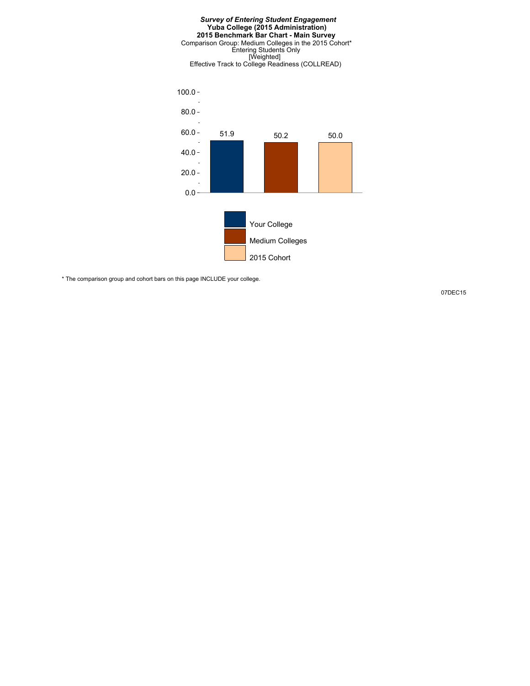#### *Survey of Entering Student Engagement* **Yuba College (2015 Administration) 2015 Benchmark Bar Chart - Main Survey** Comparison Group: Medium Colleges in the 2015 Cohort\* Entering Students Only [Weighted] Effective Track to College Readiness (COLLREAD)



\* The comparison group and cohort bars on this page INCLUDE your college.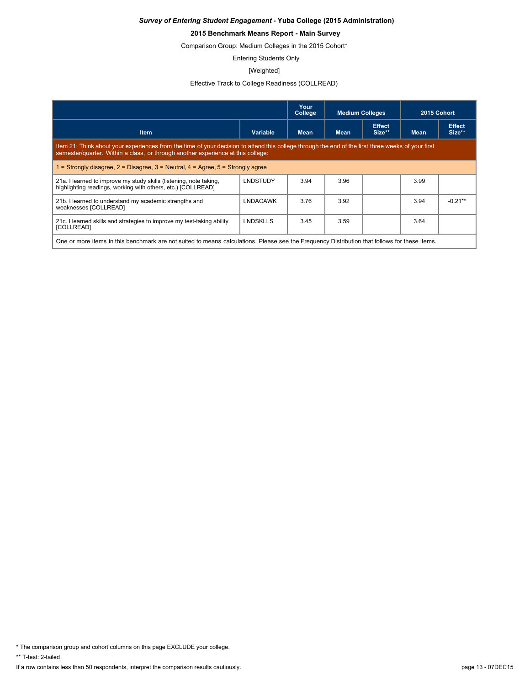# **2015 Benchmark Means Report - Main Survey**

Comparison Group: Medium Colleges in the 2015 Cohort\*

Entering Students Only

#### [Weighted]

# Effective Track to College Readiness (COLLREAD)

|                                                                                                                                                                                                                                        |                 | Your<br>College | <b>Medium Colleges</b> |                         | 2015 Cohort |                         |  |  |  |  |
|----------------------------------------------------------------------------------------------------------------------------------------------------------------------------------------------------------------------------------------|-----------------|-----------------|------------------------|-------------------------|-------------|-------------------------|--|--|--|--|
| <b>Item</b>                                                                                                                                                                                                                            | Variable        | <b>Mean</b>     | <b>Mean</b>            | <b>Effect</b><br>Size** | <b>Mean</b> | <b>Effect</b><br>Size** |  |  |  |  |
| Item 21: Think about your experiences from the time of your decision to attend this college through the end of the first three weeks of your first<br>semester/quarter. Within a class, or through another experience at this college: |                 |                 |                        |                         |             |                         |  |  |  |  |
| 1 = Strongly disagree, 2 = Disagree, 3 = Neutral, $4$ = Agree, $5$ = Strongly agree                                                                                                                                                    |                 |                 |                        |                         |             |                         |  |  |  |  |
| 21a. I learned to improve my study skills (listening, note taking,<br>highlighting readings, working with others, etc.) [COLLREAD]                                                                                                     | LNDSTUDY        | 3.94            | 3.96                   |                         | 3.99        |                         |  |  |  |  |
| 21b. I learned to understand my academic strengths and<br>weaknesses [COLLREAD]                                                                                                                                                        | LNDACAWK        | 3.76            | 3.92                   |                         | 3.94        | $-0.21**$               |  |  |  |  |
| 21c. I learned skills and strategies to improve my test-taking ability<br>[COLLREAD]                                                                                                                                                   | <b>LNDSKLLS</b> | 3.45            | 3.59                   |                         | 3.64        |                         |  |  |  |  |
| One or more items in this benchmark are not suited to means calculations. Please see the Frequency Distribution that follows for these items.                                                                                          |                 |                 |                        |                         |             |                         |  |  |  |  |

\* The comparison group and cohort columns on this page EXCLUDE your college.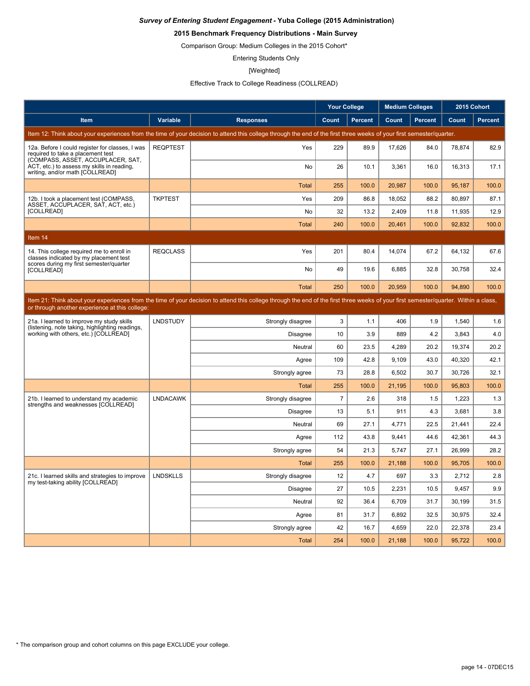# **2015 Benchmark Frequency Distributions - Main Survey**

Comparison Group: Medium Colleges in the 2015 Cohort\*

Entering Students Only

# [Weighted]

Effective Track to College Readiness (COLLREAD)

|                                                                                                                           |                 |                                                                                                                                                                                      | <b>Your College</b> |                | <b>Medium Colleges</b> |                | 2015 Cohort  |                |
|---------------------------------------------------------------------------------------------------------------------------|-----------------|--------------------------------------------------------------------------------------------------------------------------------------------------------------------------------------|---------------------|----------------|------------------------|----------------|--------------|----------------|
| Item                                                                                                                      | <b>Variable</b> | <b>Responses</b>                                                                                                                                                                     | Count               | <b>Percent</b> | Count                  | <b>Percent</b> | <b>Count</b> | <b>Percent</b> |
|                                                                                                                           |                 | Item 12: Think about your experiences from the time of your decision to attend this college through the end of the first three weeks of your first semester/quarter.                 |                     |                |                        |                |              |                |
| 12a. Before I could register for classes, I was<br>required to take a placement test<br>(COMPASS, ASSET, ACCUPLACER, SAT, | <b>REQPTEST</b> | Yes                                                                                                                                                                                  | 229                 | 89.9           | 17.626                 | 84.0           | 78,874       | 82.9           |
| ACT, etc.) to assess my skills in reading,<br>writing, and/or math [COLLREAD]                                             |                 | No                                                                                                                                                                                   | 26                  | 10.1           | 3,361                  | 16.0           | 16,313       | 17.1           |
|                                                                                                                           |                 | <b>Total</b>                                                                                                                                                                         | 255                 | 100.0          | 20,987                 | 100.0          | 95,187       | 100.0          |
| 12b. I took a placement test (COMPASS,<br>ASSET, ACCUPLACER, SAT, ACT, etc.)                                              | <b>TKPTEST</b>  | Yes                                                                                                                                                                                  | 209                 | 86.8           | 18,052                 | 88.2           | 80,897       | 87.1           |
| [COLLREAD]                                                                                                                |                 | No                                                                                                                                                                                   | 32                  | 13.2           | 2.409                  | 11.8           | 11,935       | 12.9           |
|                                                                                                                           |                 | <b>Total</b>                                                                                                                                                                         | 240                 | 100.0          | 20,461                 | 100.0          | 92,832       | 100.0          |
| Item 14                                                                                                                   |                 |                                                                                                                                                                                      |                     |                |                        |                |              |                |
| 14. This college required me to enroll in<br>classes indicated by my placement test                                       | <b>REQCLASS</b> | Yes                                                                                                                                                                                  | 201                 | 80.4           | 14,074                 | 67.2           | 64,132       | 67.6           |
| scores during my first semester/quarter<br>[COLLREAD]                                                                     |                 | No                                                                                                                                                                                   | 49                  | 19.6           | 6,885                  | 32.8           | 30,758       | 32.4           |
|                                                                                                                           |                 | <b>Total</b>                                                                                                                                                                         | 250                 | 100.0          | 20,959                 | 100.0          | 94,890       | 100.0          |
| or through another experience at this college:                                                                            |                 | Item 21: Think about your experiences from the time of your decision to attend this college through the end of the first three weeks of your first semester/quarter. Within a class, |                     |                |                        |                |              |                |
| 21a. I learned to improve my study skills<br>(listening, note taking, highlighting readings,                              | <b>LNDSTUDY</b> | Strongly disagree                                                                                                                                                                    | 3                   | 1.1            | 406                    | 1.9            | 1,540        | 1.6            |
| working with others, etc.) [COLLREAD]                                                                                     |                 | <b>Disagree</b>                                                                                                                                                                      | 10                  | 3.9            | 889                    | 4.2            | 3,843        | 4.0            |
|                                                                                                                           |                 | Neutral                                                                                                                                                                              | 60                  | 23.5           | 4,289                  | 20.2           | 19,374       | 20.2           |
|                                                                                                                           |                 | Agree                                                                                                                                                                                | 109                 | 42.8           | 9,109                  | 43.0           | 40,320       | 42.1           |
|                                                                                                                           |                 | Strongly agree                                                                                                                                                                       | 73                  | 28.8           | 6,502                  | 30.7           | 30.726       | 32.1           |
|                                                                                                                           |                 | <b>Total</b>                                                                                                                                                                         | 255                 | 100.0          | 21,195                 | 100.0          | 95,803       | 100.0          |
| 21b. I learned to understand my academic<br>strengths and weaknesses [COLLREAD]                                           | <b>LNDACAWK</b> | Strongly disagree                                                                                                                                                                    | $\overline{7}$      | 2.6            | 318                    | 1.5            | 1,223        | 1.3            |
|                                                                                                                           |                 | <b>Disagree</b>                                                                                                                                                                      | 13                  | 5.1            | 911                    | 4.3            | 3.681        | 3.8            |
|                                                                                                                           |                 | Neutral                                                                                                                                                                              | 69                  | 27.1           | 4,771                  | 22.5           | 21,441       | 22.4           |
|                                                                                                                           |                 | Agree                                                                                                                                                                                | 112                 | 43.8           | 9,441                  | 44.6           | 42,361       | 44.3           |
|                                                                                                                           |                 | Strongly agree                                                                                                                                                                       | 54                  | 21.3           | 5,747                  | 27.1           | 26,999       | 28.2           |
|                                                                                                                           |                 | Total                                                                                                                                                                                | 255                 | 100.0          | 21,188                 | 100.0          | 95,705       | 100.0          |
| 21c. I learned skills and strategies to improve<br>my test-taking ability [COLLREAD]                                      | <b>LNDSKLLS</b> | Strongly disagree                                                                                                                                                                    | 12                  | 4.7            | 697                    | 3.3            | 2,712        | 2.8            |
|                                                                                                                           |                 | <b>Disagree</b>                                                                                                                                                                      | 27                  | 10.5           | 2,231                  | 10.5           | 9.457        | 9.9            |
|                                                                                                                           |                 | Neutral                                                                                                                                                                              | 92                  | 36.4           | 6,709                  | 31.7           | 30,199       | 31.5           |
|                                                                                                                           |                 | Agree                                                                                                                                                                                | 81                  | 31.7           | 6,892                  | 32.5           | 30,975       | 32.4           |
|                                                                                                                           |                 | Strongly agree                                                                                                                                                                       | 42                  | 16.7           | 4.659                  | 22.0           | 22.378       | 23.4           |
|                                                                                                                           |                 | Total                                                                                                                                                                                | 254                 | 100.0          | 21,188                 | 100.0          | 95,722       | 100.0          |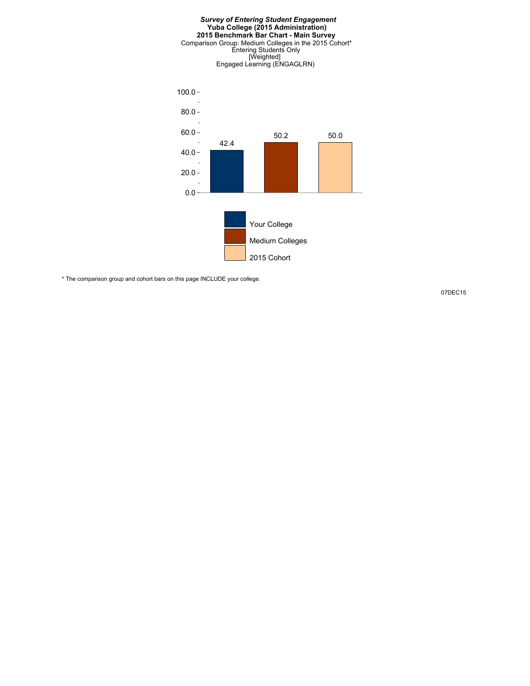

\* The comparison group and cohort bars on this page INCLUDE your college.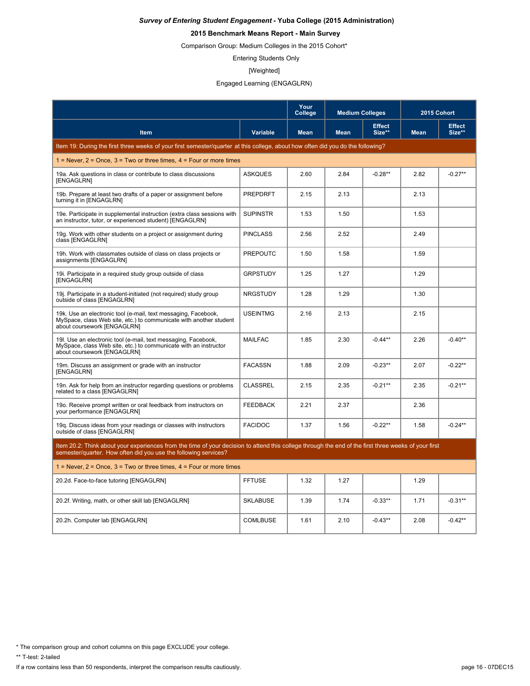# **2015 Benchmark Means Report - Main Survey**

Comparison Group: Medium Colleges in the 2015 Cohort\*

Entering Students Only

#### [Weighted]

# Engaged Learning (ENGAGLRN)

|                                                                                                                                                                                                                         |                 | Your<br>College | <b>Medium Colleges</b> |                         | 2015 Cohort |                         |
|-------------------------------------------------------------------------------------------------------------------------------------------------------------------------------------------------------------------------|-----------------|-----------------|------------------------|-------------------------|-------------|-------------------------|
| Item                                                                                                                                                                                                                    | <b>Variable</b> | <b>Mean</b>     | <b>Mean</b>            | <b>Effect</b><br>Size** | <b>Mean</b> | <b>Effect</b><br>Size** |
| Item 19: During the first three weeks of your first semester/quarter at this college, about how often did you do the following?                                                                                         |                 |                 |                        |                         |             |                         |
| 1 = Never, $2$ = Once, $3$ = Two or three times, $4$ = Four or more times                                                                                                                                               |                 |                 |                        |                         |             |                         |
| 19a. Ask questions in class or contribute to class discussions<br>[ENGAGLRN]                                                                                                                                            | <b>ASKQUES</b>  | 2.60            | 2.84                   | $-0.28**$               | 2.82        | $-0.27**$               |
| 19b. Prepare at least two drafts of a paper or assignment before<br>turning it in [ENGAGLRN]                                                                                                                            | <b>PREPDRFT</b> | 2.15            | 2.13                   |                         | 2.13        |                         |
| 19e. Participate in supplemental instruction (extra class sessions with<br>an instructor, tutor, or experienced student) [ENGAGLRN]                                                                                     | <b>SUPINSTR</b> | 1.53            | 1.50                   |                         | 1.53        |                         |
| 19g. Work with other students on a project or assignment during<br>class [ENGAGLRN]                                                                                                                                     | <b>PINCLASS</b> | 2.56            | 2.52                   |                         | 2.49        |                         |
| 19h. Work with classmates outside of class on class projects or<br>assignments [ENGAGLRN]                                                                                                                               | <b>PREPOUTC</b> | 1.50            | 1.58                   |                         | 1.59        |                         |
| 19. Participate in a required study group outside of class<br><b>[ENGAGLRN]</b>                                                                                                                                         | <b>GRPSTUDY</b> | 1.25            | 1.27                   |                         | 1.29        |                         |
| 19. Participate in a student-initiated (not required) study group<br>outside of class [ENGAGLRN]                                                                                                                        | <b>NRGSTUDY</b> | 1.28            | 1.29                   |                         | 1.30        |                         |
| 19k. Use an electronic tool (e-mail, text messaging, Facebook,<br>MySpace, class Web site, etc.) to communicate with another student<br>about coursework [ENGAGLRN]                                                     | <b>USEINTMG</b> | 2.16            | 2.13                   |                         | 2.15        |                         |
| 19I. Use an electronic tool (e-mail, text messaging, Facebook,<br>MySpace, class Web site, etc.) to communicate with an instructor<br>about coursework [ENGAGLRN]                                                       | <b>MAILFAC</b>  | 1.85            | 2.30                   | $-0.44**$               | 2.26        | $-0.40**$               |
| 19m. Discuss an assignment or grade with an instructor<br>[ENGAGLRN]                                                                                                                                                    | <b>FACASSN</b>  | 1.88            | 2.09                   | $-0.23**$               | 2.07        | $-0.22**$               |
| 19n. Ask for help from an instructor regarding questions or problems<br>related to a class [ENGAGLRN]                                                                                                                   | <b>CLASSREL</b> | 2.15            | 2.35                   | $-0.21**$               | 2.35        | $-0.21**$               |
| 19o. Receive prompt written or oral feedback from instructors on<br>your performance [ENGAGLRN]                                                                                                                         | <b>FEEDBACK</b> | 2.21            | 2.37                   |                         | 2.36        |                         |
| 19q. Discuss ideas from your readings or classes with instructors<br>outside of class [ENGAGLRN]                                                                                                                        | <b>FACIDOC</b>  | 1.37            | 1.56                   | $-0.22**$               | 1.58        | $-0.24**$               |
| Item 20.2: Think about your experiences from the time of your decision to attend this college through the end of the first three weeks of your first<br>semester/quarter. How often did you use the following services? |                 |                 |                        |                         |             |                         |
| 1 = Never, $2$ = Once, $3$ = Two or three times, $4$ = Four or more times                                                                                                                                               |                 |                 |                        |                         |             |                         |
| 20.2d. Face-to-face tutoring [ENGAGLRN]                                                                                                                                                                                 | <b>FFTUSE</b>   | 1.32            | 1.27                   |                         | 1.29        |                         |
| 20.2f. Writing, math, or other skill lab [ENGAGLRN]                                                                                                                                                                     | <b>SKLABUSE</b> | 1.39            | 1.74                   | $-0.33**$               | 1.71        | $-0.31**$               |
| 20.2h. Computer lab [ENGAGLRN]                                                                                                                                                                                          | <b>COMLBUSE</b> | 1.61            | 2.10                   | $-0.43**$               | 2.08        | $-0.42**$               |

\* The comparison group and cohort columns on this page EXCLUDE your college.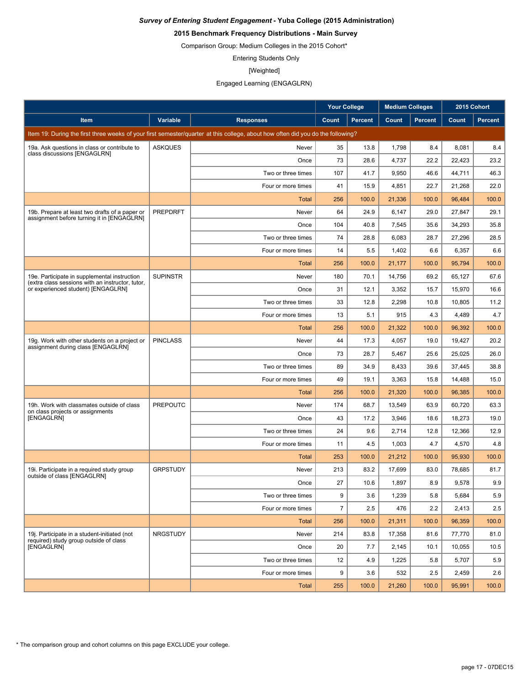# **2015 Benchmark Frequency Distributions - Main Survey**

Comparison Group: Medium Colleges in the 2015 Cohort\*

Entering Students Only

#### [Weighted]

Engaged Learning (ENGAGLRN)

|                                                                                                  |                 |                                                                                                                                 | <b>Your College</b> |                | <b>Medium Colleges</b> |                | 2015 Cohort |                |
|--------------------------------------------------------------------------------------------------|-----------------|---------------------------------------------------------------------------------------------------------------------------------|---------------------|----------------|------------------------|----------------|-------------|----------------|
| Item                                                                                             | Variable        | <b>Responses</b>                                                                                                                | Count               | <b>Percent</b> | Count                  | <b>Percent</b> | Count       | <b>Percent</b> |
|                                                                                                  |                 | Item 19: During the first three weeks of your first semester/quarter at this college, about how often did you do the following? |                     |                |                        |                |             |                |
| 19a. Ask questions in class or contribute to                                                     | <b>ASKQUES</b>  | Never                                                                                                                           | 35                  | 13.8           | 1,798                  | 8.4            | 8,081       | 8.4            |
| class discussions [ENGAGLRN]                                                                     |                 | Once                                                                                                                            | 73                  | 28.6           | 4,737                  | 22.2           | 22,423      | 23.2           |
|                                                                                                  |                 | Two or three times                                                                                                              | 107                 | 41.7           | 9,950                  | 46.6           | 44,711      | 46.3           |
|                                                                                                  |                 | Four or more times                                                                                                              | 41                  | 15.9           | 4,851                  | 22.7           | 21,268      | 22.0           |
|                                                                                                  |                 | Total                                                                                                                           | 256                 | 100.0          | 21,336                 | 100.0          | 96,484      | 100.0          |
| 19b. Prepare at least two drafts of a paper or                                                   | PREPDRFT        | Never                                                                                                                           | 64                  | 24.9           | 6,147                  | 29.0           | 27,847      | 29.1           |
| assignment before turning it in [ENGAGLRN]                                                       |                 | Once                                                                                                                            | 104                 | 40.8           | 7,545                  | 35.6           | 34,293      | 35.8           |
|                                                                                                  |                 | Two or three times                                                                                                              | 74                  | 28.8           | 6,083                  | 28.7           | 27,296      | 28.5           |
|                                                                                                  |                 | Four or more times                                                                                                              | 14                  | 5.5            | 1,402                  | 6.6            | 6,357       | 6.6            |
|                                                                                                  |                 | <b>Total</b>                                                                                                                    | 256                 | 100.0          | 21,177                 | 100.0          | 95,794      | 100.0          |
| 19e. Participate in supplemental instruction<br>(extra class sessions with an instructor, tutor, | <b>SUPINSTR</b> | Never                                                                                                                           | 180                 | 70.1           | 14,756                 | 69.2           | 65,127      | 67.6           |
| or experienced student) [ENGAGLRN]                                                               |                 | Once                                                                                                                            | 31                  | 12.1           | 3,352                  | 15.7           | 15,970      | 16.6           |
|                                                                                                  |                 | Two or three times                                                                                                              | 33                  | 12.8           | 2,298                  | 10.8           | 10,805      | 11.2           |
|                                                                                                  |                 | Four or more times                                                                                                              | 13                  | 5.1            | 915                    | 4.3            | 4,489       | 4.7            |
|                                                                                                  |                 | Total                                                                                                                           | 256                 | 100.0          | 21,322                 | 100.0          | 96,392      | 100.0          |
| 19g. Work with other students on a project or<br>assignment during class [ENGAGLRN]              | <b>PINCLASS</b> | Never                                                                                                                           | 44                  | 17.3           | 4,057                  | 19.0           | 19,427      | 20.2           |
|                                                                                                  |                 | Once                                                                                                                            | 73                  | 28.7           | 5,467                  | 25.6           | 25,025      | 26.0           |
|                                                                                                  |                 | Two or three times                                                                                                              | 89                  | 34.9           | 8,433                  | 39.6           | 37,445      | 38.8           |
|                                                                                                  |                 | Four or more times                                                                                                              | 49                  | 19.1           | 3,363                  | 15.8           | 14,488      | 15.0           |
|                                                                                                  |                 | Total                                                                                                                           | 256                 | 100.0          | 21,320                 | 100.0          | 96,385      | 100.0          |
| 19h. Work with classmates outside of class<br>on class projects or assignments                   | <b>PREPOUTC</b> | Never                                                                                                                           | 174                 | 68.7           | 13,549                 | 63.9           | 60,720      | 63.3           |
| [ENGAGLRN]                                                                                       |                 | Once                                                                                                                            | 43                  | 17.2           | 3,946                  | 18.6           | 18,273      | 19.0           |
|                                                                                                  |                 | Two or three times                                                                                                              | 24                  | 9.6            | 2,714                  | 12.8           | 12,366      | 12.9           |
|                                                                                                  |                 | Four or more times                                                                                                              | 11                  | 4.5            | 1,003                  | 4.7            | 4,570       | 4.8            |
|                                                                                                  |                 | Total                                                                                                                           | 253                 | 100.0          | 21,212                 | 100.0          | 95,930      | 100.0          |
| 19i. Participate in a required study group<br>outside of class [ENGAGLRN]                        | <b>GRPSTUDY</b> | Never                                                                                                                           | 213                 | 83.2           | 17,699                 | 83.0           | 78,685      | 81.7           |
|                                                                                                  |                 | Once                                                                                                                            | 27                  | 10.6           | 1,897                  | 8.9            | 9,578       | 9.9            |
|                                                                                                  |                 | Two or three times                                                                                                              | 9                   | 3.6            | 1,239                  | 5.8            | 5,684       | 5.9            |
|                                                                                                  |                 | Four or more times                                                                                                              | $\overline{7}$      | 2.5            | 476                    | 2.2            | 2,413       | 2.5            |
|                                                                                                  |                 | <b>Total</b>                                                                                                                    | 256                 | 100.0          | 21,311                 | 100.0          | 96,359      | 100.0          |
| 19j. Participate in a student-initiated (not<br>required) study group outside of class           | NRGSTUDY        | Never                                                                                                                           | 214                 | 83.8           | 17,358                 | 81.6           | 77,770      | 81.0           |
| [ENGAGLRN]                                                                                       |                 | Once                                                                                                                            | 20                  | 7.7            | 2,145                  | 10.1           | 10,055      | 10.5           |
|                                                                                                  |                 | Two or three times                                                                                                              | 12                  | 4.9            | 1,225                  | 5.8            | 5,707       | 5.9            |
|                                                                                                  |                 | Four or more times                                                                                                              | 9                   | 3.6            | 532                    | 2.5            | 2,459       | 2.6            |
|                                                                                                  |                 | <b>Total</b>                                                                                                                    | 255                 | 100.0          | 21,260                 | 100.0          | 95,991      | 100.0          |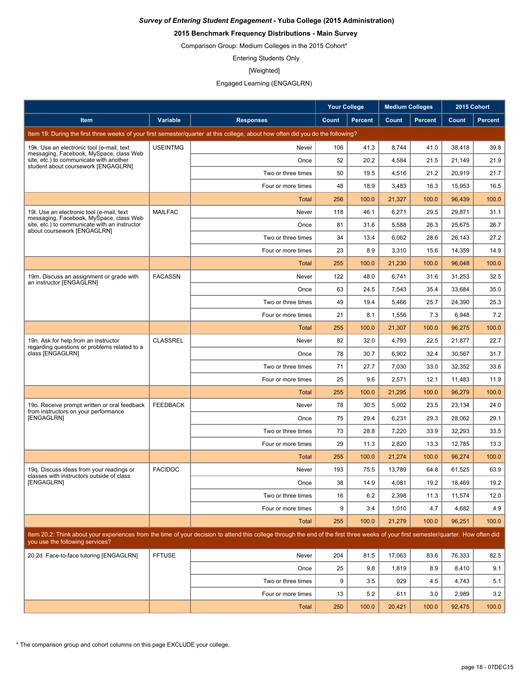# **2015 Benchmark Frequency Distributions - Main Survey**

Comparison Group: Medium Colleges in the 2015 Cohort\*

Entering Students Only

#### [Weighted]

# Engaged Learning (ENGAGLRN)

|                                                                                                                                                                        |                 |                                                                                                                                                                                      | <b>Your College</b> |                | <b>Medium Colleges</b> |                |        | 2015 Cohort    |
|------------------------------------------------------------------------------------------------------------------------------------------------------------------------|-----------------|--------------------------------------------------------------------------------------------------------------------------------------------------------------------------------------|---------------------|----------------|------------------------|----------------|--------|----------------|
| Item                                                                                                                                                                   | Variable        | <b>Responses</b>                                                                                                                                                                     | Count               | <b>Percent</b> | Count                  | <b>Percent</b> | Count  | <b>Percent</b> |
|                                                                                                                                                                        |                 | Item 19: During the first three weeks of your first semester/quarter at this college, about how often did you do the following?                                                      |                     |                |                        |                |        |                |
| 19k. Use an electronic tool (e-mail, text<br>messaging, Facebook, MySpace, class Web<br>site, etc.) to communicate with another<br>student about coursework [ENGAGLRN] | <b>USEINTMG</b> | Never                                                                                                                                                                                | 106                 | 41.3           | 8,744                  | 41.0           | 38,418 | 39.8           |
|                                                                                                                                                                        |                 | Once                                                                                                                                                                                 | 52                  | 20.2           | 4,584                  | 21.5           | 21.149 | 21.9           |
|                                                                                                                                                                        |                 | Two or three times                                                                                                                                                                   | 50                  | 19.5           | 4,516                  | 21.2           | 20,919 | 21.7           |
|                                                                                                                                                                        |                 | Four or more times                                                                                                                                                                   | 48                  | 18.9           | 3,483                  | 16.3           | 15,953 | 16.5           |
|                                                                                                                                                                        |                 | <b>Total</b>                                                                                                                                                                         | 256                 | 100.0          | 21,327                 | 100.0          | 96,439 | 100.0          |
| 19. Use an electronic tool (e-mail, text                                                                                                                               | <b>MAILFAC</b>  | Never                                                                                                                                                                                | 118                 | 46.1           | 6,271                  | 29.5           | 29,871 | 31.1           |
| messaging, Facebook, MySpace, class Web<br>site, etc.) to communicate with an instructor                                                                               |                 | Once                                                                                                                                                                                 | 81                  | 31.6           | 5,588                  | 26.3           | 25,675 | 26.7           |
| about coursework [ENGAGLRN]                                                                                                                                            |                 | Two or three times                                                                                                                                                                   | 34                  | 13.4           | 6,062                  | 28.6           | 26,143 | 27.2           |
|                                                                                                                                                                        |                 | Four or more times                                                                                                                                                                   | 23                  | 8.9            | 3,310                  | 15.6           | 14,359 | 14.9           |
|                                                                                                                                                                        |                 | Total                                                                                                                                                                                | 255                 | 100.0          | 21,230                 | 100.0          | 96,048 | 100.0          |
| 19m. Discuss an assignment or grade with                                                                                                                               | <b>FACASSN</b>  | Never                                                                                                                                                                                | 122                 | 48.0           | 6,741                  | 31.6           | 31,253 | 32.5           |
| an instructor [ENGAGLRN]                                                                                                                                               |                 | Once                                                                                                                                                                                 | 63                  | 24.5           | 7,543                  | 35.4           | 33,684 | 35.0           |
|                                                                                                                                                                        |                 | Two or three times                                                                                                                                                                   | 49                  | 19.4           | 5,466                  | 25.7           | 24,390 | 25.3           |
|                                                                                                                                                                        |                 | Four or more times                                                                                                                                                                   | 21                  | 8.1            | 1,556                  | 7.3            | 6,948  | 7.2            |
|                                                                                                                                                                        |                 | <b>Total</b>                                                                                                                                                                         | 255                 | 100.0          | 21,307                 | 100.0          | 96,275 | 100.0          |
| 19n. Ask for help from an instructor<br>regarding questions or problems related to a<br>class [ENGAGLRN]                                                               | <b>CLASSREL</b> | Never                                                                                                                                                                                | 82                  | 32.0           | 4,793                  | 22.5           | 21,877 | 22.7           |
|                                                                                                                                                                        |                 | Once                                                                                                                                                                                 | 78                  | 30.7           | 6,902                  | 32.4           | 30,567 | 31.7           |
|                                                                                                                                                                        |                 | Two or three times                                                                                                                                                                   | 71                  | 27.7           | 7,030                  | 33.0           | 32,352 | 33.6           |
|                                                                                                                                                                        |                 | Four or more times                                                                                                                                                                   | 25                  | 9.6            | 2,571                  | 12.1           | 11,483 | 11.9           |
|                                                                                                                                                                        |                 | <b>Total</b>                                                                                                                                                                         | 255                 | 100.0          | 21,295                 | 100.0          | 96,279 | 100.0          |
| 19o. Receive prompt written or oral feedback                                                                                                                           | <b>FEEDBACK</b> | Never                                                                                                                                                                                | 78                  | 30.5           | 5,002                  | 23.5           | 23,134 | 24.0           |
| from instructors on your performance<br>[ENGAGLRN]                                                                                                                     |                 | Once                                                                                                                                                                                 | 75                  | 29.4           | 6,231                  | 29.3           | 28,062 | 29.1           |
|                                                                                                                                                                        |                 | Two or three times                                                                                                                                                                   | 73                  | 28.8           | 7,220                  | 33.9           | 32,293 | 33.5           |
|                                                                                                                                                                        |                 | Four or more times                                                                                                                                                                   | 29                  | 11.3           | 2,820                  | 13.3           | 12,785 | 13.3           |
|                                                                                                                                                                        |                 | <b>Total</b>                                                                                                                                                                         | 255                 | 100.0          | 21,274                 | 100.0          | 96,274 | 100.0          |
| 19q. Discuss ideas from your readings or                                                                                                                               | <b>FACIDOC</b>  | Never                                                                                                                                                                                | 193                 | 75.5           | 13,789                 | 64.8           | 61,525 | 63.9           |
| classes with instructors outside of class<br>[ENGAGLRN]                                                                                                                |                 | Once                                                                                                                                                                                 | 38                  | 14.9           | 4,081                  | 19.2           | 18,469 | 19.2           |
|                                                                                                                                                                        |                 | Two or three times                                                                                                                                                                   | 16                  | 6.2            | 2,398                  | 11.3           | 11,574 | 12.0           |
|                                                                                                                                                                        |                 | Four or more times                                                                                                                                                                   | 9                   | 3.4            | 1,010                  | 4.7            | 4,682  | 4.9            |
|                                                                                                                                                                        |                 | <b>Total</b>                                                                                                                                                                         | 255                 | 100.0          | 21,279                 | 100.0          | 96,251 | 100.0          |
| you use the following services?                                                                                                                                        |                 | Item 20.2: Think about your experiences from the time of your decision to attend this college through the end of the first three weeks of your first semester/quarter. How often did |                     |                |                        |                |        |                |
| 20.2d. Face-to-face tutoring [ENGAGLRN]                                                                                                                                | <b>FFTUSE</b>   | Never                                                                                                                                                                                | 204                 | 81.5           | 17,063                 | 83.6           | 76,333 | 82.5           |
|                                                                                                                                                                        |                 | Once                                                                                                                                                                                 | 25                  | 9.8            | 1,819                  | 8.9            | 8,410  | 9.1            |
|                                                                                                                                                                        |                 | Two or three times                                                                                                                                                                   | 9                   | 3.5            | 929                    | 4.5            | 4,743  | 5.1            |
|                                                                                                                                                                        |                 | Four or more times                                                                                                                                                                   | 13                  | 5.2            | 611                    | 3.0            | 2,989  | 3.2            |
|                                                                                                                                                                        |                 | <b>Total</b>                                                                                                                                                                         | 250                 | 100.0          | 20,421                 | 100.0          | 92,475 | 100.0          |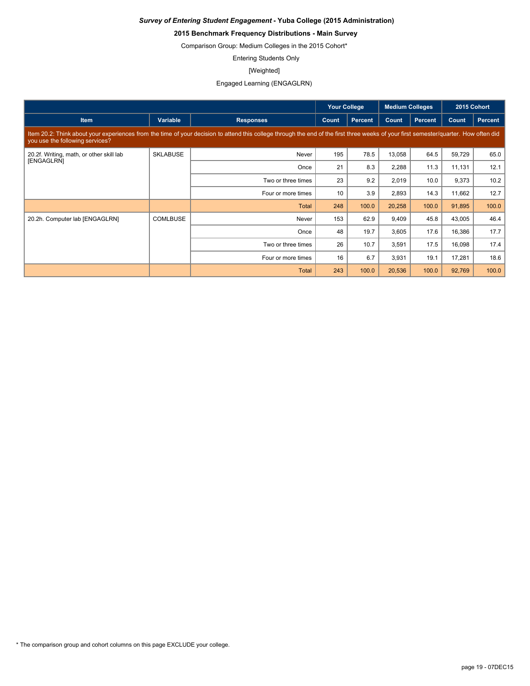# **2015 Benchmark Frequency Distributions - Main Survey**

Comparison Group: Medium Colleges in the 2015 Cohort\*

Entering Students Only

#### [Weighted]

Engaged Learning (ENGAGLRN)

|                                                                                                                                                                                                                         |                 |                    | <b>Your College</b> |                | <b>Medium Colleges</b> |                |        | 2015 Cohort    |
|-------------------------------------------------------------------------------------------------------------------------------------------------------------------------------------------------------------------------|-----------------|--------------------|---------------------|----------------|------------------------|----------------|--------|----------------|
| <b>Item</b>                                                                                                                                                                                                             | Variable        | <b>Responses</b>   | Count               | <b>Percent</b> | Count                  | <b>Percent</b> | Count  | <b>Percent</b> |
| Item 20.2: Think about your experiences from the time of your decision to attend this college through the end of the first three weeks of your first semester/quarter. How often did<br>you use the following services? |                 |                    |                     |                |                        |                |        |                |
| 20.2f. Writing, math, or other skill lab<br>[ENGAGLRN]                                                                                                                                                                  | <b>SKLABUSE</b> | Never              | 195                 | 78.5           | 13,058                 | 64.5           | 59,729 | 65.0           |
|                                                                                                                                                                                                                         |                 | Once               | 21                  | 8.3            | 2,288                  | 11.3           | 11,131 | 12.1           |
|                                                                                                                                                                                                                         |                 | Two or three times | 23                  | 9.2            | 2,019                  | 10.0           | 9,373  | 10.2           |
|                                                                                                                                                                                                                         |                 | Four or more times | 10                  | 3.9            | 2,893                  | 14.3           | 11,662 | 12.7           |
|                                                                                                                                                                                                                         |                 | <b>Total</b>       | 248                 | 100.0          | 20,258                 | 100.0          | 91,895 | 100.0          |
| 20.2h. Computer lab [ENGAGLRN]                                                                                                                                                                                          | <b>COMLBUSE</b> | Never              | 153                 | 62.9           | 9,409                  | 45.8           | 43,005 | 46.4           |
|                                                                                                                                                                                                                         |                 | Once               | 48                  | 19.7           | 3,605                  | 17.6           | 16,386 | 17.7           |
|                                                                                                                                                                                                                         |                 | Two or three times | 26                  | 10.7           | 3,591                  | 17.5           | 16,098 | 17.4           |
|                                                                                                                                                                                                                         |                 | Four or more times | 16                  | 6.7            | 3,931                  | 19.1           | 17,281 | 18.6           |
|                                                                                                                                                                                                                         |                 | <b>Total</b>       | 243                 | 100.0          | 20,536                 | 100.0          | 92,769 | 100.0          |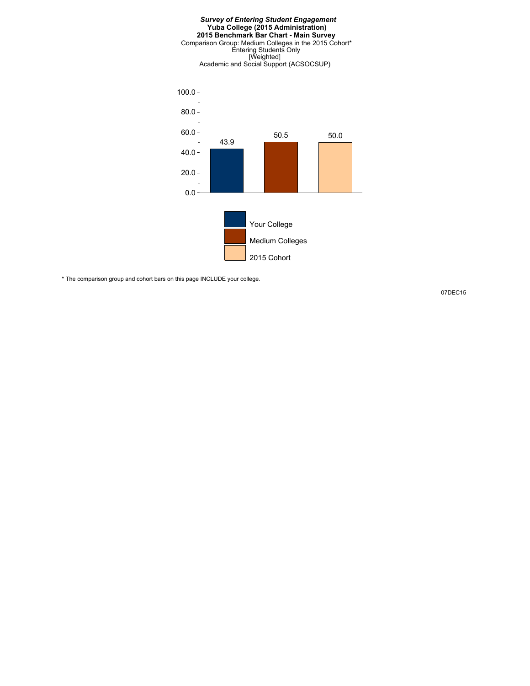#### *Survey of Entering Student Engagement* **Yuba College (2015 Administration) 2015 Benchmark Bar Chart - Main Survey** Comparison Group: Medium Colleges in the 2015 Cohort\* Entering Students Only [Weighted] Academic and Social Support (ACSOCSUP)



\* The comparison group and cohort bars on this page INCLUDE your college.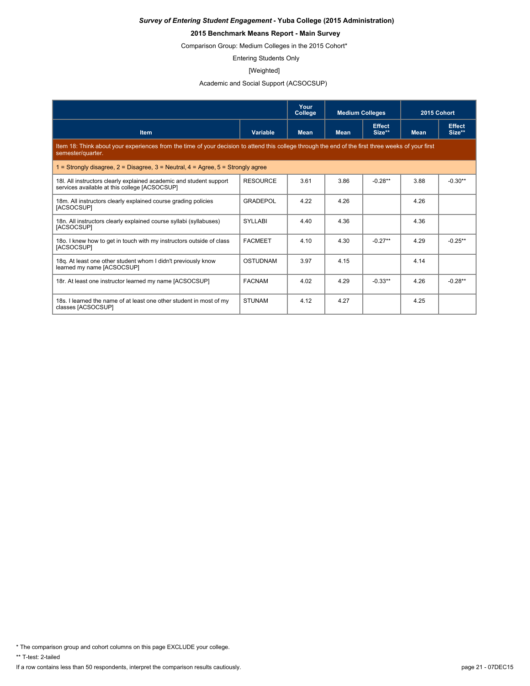# **2015 Benchmark Means Report - Main Survey**

Comparison Group: Medium Colleges in the 2015 Cohort\*

Entering Students Only

# [Weighted]

# Academic and Social Support (ACSOCSUP)

|                                                                                                                                                                         |                 |             | <b>Medium Colleges</b> |                         | 2015 Cohort |                         |  |
|-------------------------------------------------------------------------------------------------------------------------------------------------------------------------|-----------------|-------------|------------------------|-------------------------|-------------|-------------------------|--|
| <b>Item</b>                                                                                                                                                             | Variable        | <b>Mean</b> | Mean.                  | <b>Effect</b><br>Size** | <b>Mean</b> | <b>Effect</b><br>Size** |  |
| Item 18: Think about your experiences from the time of your decision to attend this college through the end of the first three weeks of your first<br>semester/quarter. |                 |             |                        |                         |             |                         |  |
| 1 = Strongly disagree, $2$ = Disagree, $3$ = Neutral, $4$ = Agree, $5$ = Strongly agree                                                                                 |                 |             |                        |                         |             |                         |  |
| 18I. All instructors clearly explained academic and student support<br>services available at this college [ACSOCSUP]                                                    | <b>RESOURCE</b> | 3.61        | 3.86                   | $-0.28**$               | 3.88        | $-0.30**$               |  |
| 18m. All instructors clearly explained course grading policies<br><b>IACSOCSUP1</b>                                                                                     | <b>GRADEPOL</b> | 4.22        | 4.26                   |                         | 4.26        |                         |  |
| 18n. All instructors clearly explained course syllabi (syllabuses)<br><b>IACSOCSUPI</b>                                                                                 | <b>SYLLABI</b>  | 4.40        | 4.36                   |                         | 4.36        |                         |  |
| 180. I knew how to get in touch with my instructors outside of class<br>[ACSOCSUP]                                                                                      | <b>FACMEET</b>  | 4.10        | 4.30                   | $-0.27**$               | 4.29        | $-0.25**$               |  |
| 18g. At least one other student whom I didn't previously know<br>learned my name [ACSOCSUP]                                                                             | OSTUDNAM        | 3.97        | 4.15                   |                         | 4.14        |                         |  |
| 18r. At least one instructor learned my name [ACSOCSUP]                                                                                                                 | <b>FACNAM</b>   | 4.02        | 4.29                   | $-0.33**$               | 4.26        | $-0.28**$               |  |
| 18s. I learned the name of at least one other student in most of my<br>classes [ACSOCSUP]                                                                               | <b>STUNAM</b>   | 4.12        | 4.27                   |                         | 4.25        |                         |  |

\* The comparison group and cohort columns on this page EXCLUDE your college.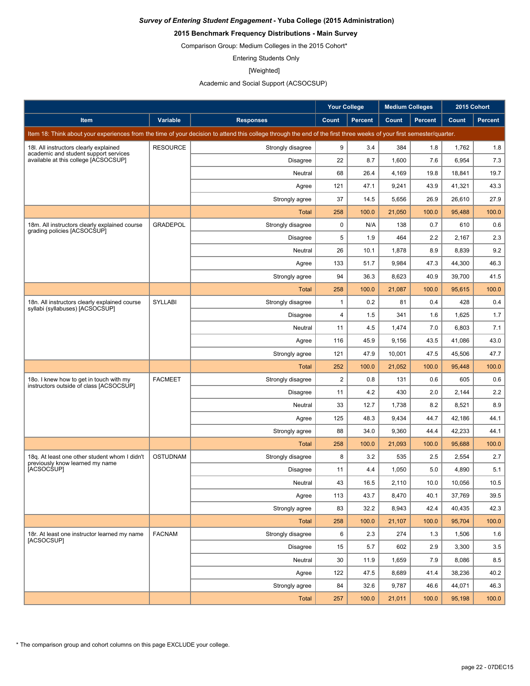# **2015 Benchmark Frequency Distributions - Main Survey**

Comparison Group: Medium Colleges in the 2015 Cohort\*

Entering Students Only

#### [Weighted]

Academic and Social Support (ACSOCSUP)

|                                                                                    |                 |                                                                                                                                                                      | <b>Your College</b>     |       | <b>Medium Colleges</b>  |       | 2015 Cohort |                |
|------------------------------------------------------------------------------------|-----------------|----------------------------------------------------------------------------------------------------------------------------------------------------------------------|-------------------------|-------|-------------------------|-------|-------------|----------------|
| Item                                                                               | <b>Variable</b> | <b>Responses</b>                                                                                                                                                     | Count<br><b>Percent</b> |       | <b>Percent</b><br>Count |       | Count       | <b>Percent</b> |
|                                                                                    |                 | Item 18: Think about your experiences from the time of your decision to attend this college through the end of the first three weeks of your first semester/quarter. |                         |       |                         |       |             |                |
| 18I. All instructors clearly explained                                             | <b>RESOURCE</b> | Strongly disagree                                                                                                                                                    | 9                       | 3.4   | 384                     | 1.8   | 1,762       | 1.8            |
| academic and student support services<br>available at this college [ACSOCSUP]      |                 | <b>Disagree</b>                                                                                                                                                      | 22                      | 8.7   | 1,600                   | 7.6   | 6,954       | 7.3            |
|                                                                                    |                 | Neutral                                                                                                                                                              | 68                      | 26.4  | 4,169                   | 19.8  | 18,841      | 19.7           |
|                                                                                    |                 | Agree                                                                                                                                                                | 121                     | 47.1  | 9,241                   | 43.9  | 41,321      | 43.3           |
|                                                                                    |                 | Strongly agree                                                                                                                                                       | 37                      | 14.5  | 5,656                   | 26.9  | 26,610      | 27.9           |
|                                                                                    |                 | Total                                                                                                                                                                | 258                     | 100.0 | 21,050                  | 100.0 | 95.488      | 100.0          |
| 18m. All instructors clearly explained course<br>grading policies [ACSOCSUP]       | <b>GRADEPOL</b> | Strongly disagree                                                                                                                                                    | 0                       | N/A   | 138                     | 0.7   | 610         | 0.6            |
|                                                                                    |                 | <b>Disagree</b>                                                                                                                                                      | 5                       | 1.9   | 464                     | 2.2   | 2,167       | 2.3            |
|                                                                                    |                 | Neutral                                                                                                                                                              | 26                      | 10.1  | 1,878                   | 8.9   | 8,839       | 9.2            |
|                                                                                    |                 | Agree                                                                                                                                                                | 133                     | 51.7  | 9,984                   | 47.3  | 44,300      | 46.3           |
|                                                                                    |                 | Strongly agree                                                                                                                                                       | 94                      | 36.3  | 8,623                   | 40.9  | 39,700      | 41.5           |
|                                                                                    |                 | <b>Total</b>                                                                                                                                                         | 258                     | 100.0 | 21,087                  | 100.0 | 95,615      | 100.0          |
| 18n. All instructors clearly explained course<br>syllabi (syllabuses) [ACSOCSUP]   | SYLLABI         | Strongly disagree                                                                                                                                                    | $\mathbf{1}$            | 0.2   | 81                      | 0.4   | 428         | 0.4            |
|                                                                                    |                 | <b>Disagree</b>                                                                                                                                                      | 4                       | 1.5   | 341                     | 1.6   | 1,625       | 1.7            |
|                                                                                    |                 | Neutral                                                                                                                                                              | 11                      | 4.5   | 1,474                   | 7.0   | 6,803       | 7.1            |
|                                                                                    |                 | Agree                                                                                                                                                                | 116                     | 45.9  | 9,156                   | 43.5  | 41,086      | 43.0           |
|                                                                                    |                 | Strongly agree                                                                                                                                                       | 121                     | 47.9  | 10,001                  | 47.5  | 45,506      | 47.7           |
|                                                                                    |                 | Total                                                                                                                                                                | 252                     | 100.0 | 21,052                  | 100.0 | 95,448      | 100.0          |
| 18o. I knew how to get in touch with my<br>instructors outside of class [ACSOCSUP] | <b>FACMEET</b>  | Strongly disagree                                                                                                                                                    | $\overline{2}$          | 0.8   | 131                     | 0.6   | 605         | 0.6            |
|                                                                                    |                 | <b>Disagree</b>                                                                                                                                                      | 11                      | 4.2   | 430                     | 2.0   | 2,144       | 2.2            |
|                                                                                    |                 | Neutral                                                                                                                                                              | 33                      | 12.7  | 1,738                   | 8.2   | 8,521       | 8.9            |
|                                                                                    |                 | Agree                                                                                                                                                                | 125                     | 48.3  | 9,434                   | 44.7  | 42,186      | 44.1           |
|                                                                                    |                 | Strongly agree                                                                                                                                                       | 88                      | 34.0  | 9,360                   | 44.4  | 42,233      | 44.1           |
|                                                                                    |                 | <b>Total</b>                                                                                                                                                         | 258                     | 100.0 | 21,093                  | 100.0 | 95,688      | 100.0          |
| 18g. At least one other student whom I didn't<br>previously know learned my name   | <b>OSTUDNAM</b> | Strongly disagree                                                                                                                                                    | 8                       | 3.2   | 535                     | 2.5   | 2,554       | 2.7            |
| <b>IACSOCSUPI</b>                                                                  |                 | <b>Disagree</b>                                                                                                                                                      | 11                      | 4.4   | 1,050                   | 5.0   | 4,890       | 5.1            |
|                                                                                    |                 | Neutral                                                                                                                                                              | 43                      | 16.5  | 2,110                   | 10.0  | 10,056      | 10.5           |
|                                                                                    |                 | Agree                                                                                                                                                                | 113                     | 43.7  | 8,470                   | 40.1  | 37,769      | 39.5           |
|                                                                                    |                 | Strongly agree                                                                                                                                                       | 83                      | 32.2  | 8,943                   | 42.4  | 40,435      | 42.3           |
|                                                                                    |                 | Total                                                                                                                                                                | 258                     | 100.0 | 21,107                  | 100.0 | 95,704      | 100.0          |
| 18r. At least one instructor learned my name<br>[ACSOCSUP]                         | <b>FACNAM</b>   | Strongly disagree                                                                                                                                                    | 6                       | 2.3   | 274                     | 1.3   | 1,506       | 1.6            |
|                                                                                    |                 | <b>Disagree</b>                                                                                                                                                      | 15                      | 5.7   | 602                     | 2.9   | 3,300       | 3.5            |
|                                                                                    |                 | Neutral                                                                                                                                                              | 30                      | 11.9  | 1,659                   | 7.9   | 8,086       | 8.5            |
|                                                                                    |                 | Agree                                                                                                                                                                | 122                     | 47.5  | 8,689                   | 41.4  | 38,236      | 40.2           |
|                                                                                    |                 | Strongly agree                                                                                                                                                       | 84                      | 32.6  | 9,787                   | 46.6  | 44,071      | 46.3           |
|                                                                                    |                 | Total                                                                                                                                                                | 257                     | 100.0 | 21,011                  | 100.0 | 95,198      | 100.0          |